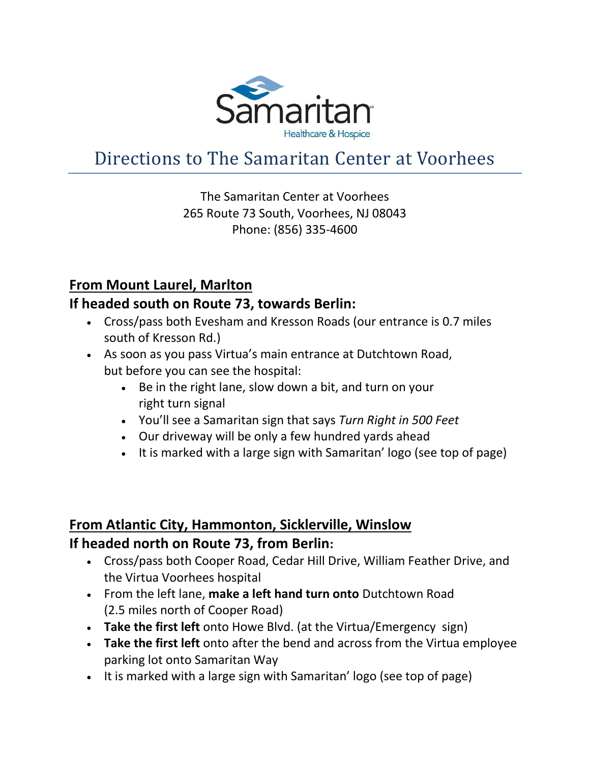

# Directions to The Samaritan Center at Voorhees

# The Samaritan Center at Voorhees 265 Route 73 South, Voorhees, NJ 08043 Phone: (856) 335-4600

# **From Mount Laurel, Marlton**

# **If headed south on Route 73, towards Berlin:**

- Cross/pass both Evesham and Kresson Roads (our entrance is 0.7 miles south of Kresson Rd.)
- As soon as you pass Virtua's main entrance at Dutchtown Road, but before you can see the hospital:
	- Be in the right lane, slow down a bit, and turn on your right turn signal
	- You'll see a Samaritan sign that says *Turn Right in 500 Feet*
	- Our driveway will be only a few hundred yards ahead
	- It is marked with a large sign with Samaritan' logo (see top of page)

# **From Atlantic City, Hammonton, Sicklerville, Winslow If headed north on Route 73, from Berlin:**

- Cross/pass both Cooper Road, Cedar Hill Drive, William Feather Drive, and the Virtua Voorhees hospital
- From the left lane, **make a left hand turn onto** Dutchtown Road (2.5 miles north of Cooper Road)
- **Take the first left** onto Howe Blvd. (at the Virtua/Emergency sign)
- **Take the first left** onto after the bend and across from the Virtua employee parking lot onto Samaritan Way
- It is marked with a large sign with Samaritan' logo (see top of page)